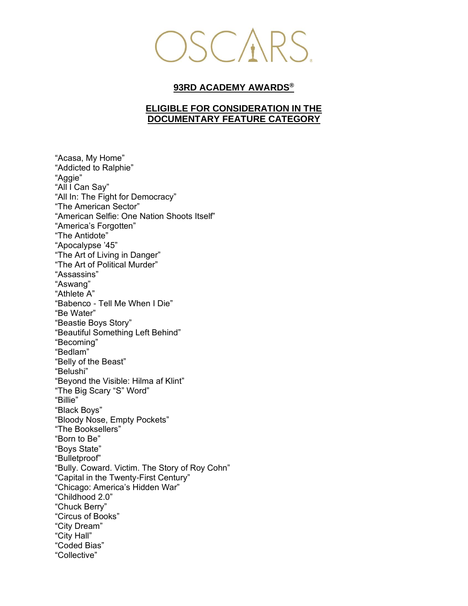

## **93RD ACADEMY AWARDS®**

## **ELIGIBLE FOR CONSIDERATION IN THE DOCUMENTARY FEATURE CATEGORY**

"Acasa, My Home" "Addicted to Ralphie" "Aggie" "All I Can Say" "All In: The Fight for Democracy" "The American Sector" "American Selfie: One Nation Shoots Itself" "America's Forgotten" "The Antidote" "Apocalypse '45" "The Art of Living in Danger" "The Art of Political Murder" "Assassins" "Aswang" "Athlete A" "Babenco - Tell Me When I Die" "Be Water" "Beastie Boys Story" "Beautiful Something Left Behind" "Becoming" "Bedlam" "Belly of the Beast" "Belushi" "Beyond the Visible: Hilma af Klint" "The Big Scary "S" Word" "Billie" "Black Boys" "Bloody Nose, Empty Pockets" "The Booksellers" "Born to Be" "Boys State" "Bulletproof" "Bully. Coward. Victim. The Story of Roy Cohn" "Capital in the Twenty-First Century" "Chicago: America's Hidden War" "Childhood 2.0" "Chuck Berry" "Circus of Books" "City Dream" "City Hall" "Coded Bias" "Collective"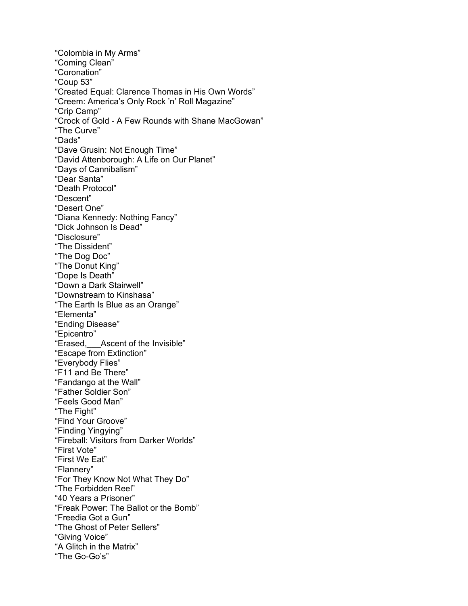"Colombia in My Arms" "Coming Clean" "Coronation" "Coup 53" "Created Equal: Clarence Thomas in His Own Words" "Creem: America's Only Rock 'n' Roll Magazine" "Crip Camp" "Crock of Gold - A Few Rounds with Shane MacGowan" "The Curve" "Dads" "Dave Grusin: Not Enough Time" "David Attenborough: A Life on Our Planet" "Days of Cannibalism" "Dear Santa" "Death Protocol" "Descent" "Desert One" "Diana Kennedy: Nothing Fancy" "Dick Johnson Is Dead" "Disclosure" "The Dissident" "The Dog Doc" "The Donut King" "Dope Is Death" "Down a Dark Stairwell" "Downstream to Kinshasa" "The Earth Is Blue as an Orange" "Elementa" "Ending Disease" "Epicentro" "Erased,\_\_\_Ascent of the Invisible" "Escape from Extinction" "Everybody Flies" "F11 and Be There" "Fandango at the Wall" "Father Soldier Son" "Feels Good Man" "The Fight" "Find Your Groove" "Finding Yingying" "Fireball: Visitors from Darker Worlds" "First Vote" "First We Eat" "Flannery" "For They Know Not What They Do" "The Forbidden Reel" "40 Years a Prisoner" "Freak Power: The Ballot or the Bomb" "Freedia Got a Gun" "The Ghost of Peter Sellers" "Giving Voice" "A Glitch in the Matrix" "The Go-Go's"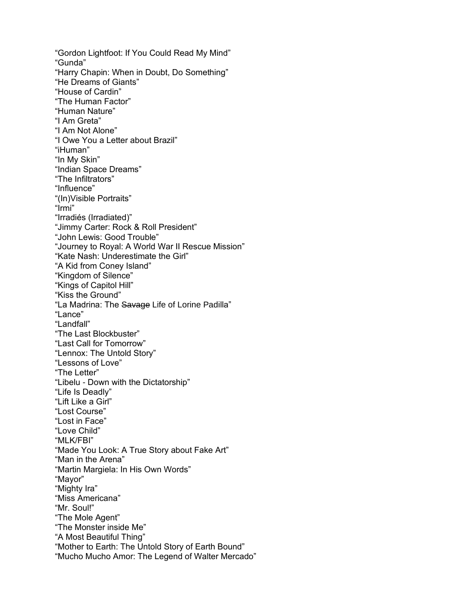"Gordon Lightfoot: If You Could Read My Mind" "Gunda" "Harry Chapin: When in Doubt, Do Something" "He Dreams of Giants" "House of Cardin" "The Human Factor" "Human Nature" "I Am Greta" "I Am Not Alone" "I Owe You a Letter about Brazil" "iHuman" "In My Skin" "Indian Space Dreams" "The Infiltrators" "Influence" "(In)Visible Portraits" "Irmi" "Irradiés (Irradiated)" "Jimmy Carter: Rock & Roll President" "John Lewis: Good Trouble" "Journey to Royal: A World War II Rescue Mission" "Kate Nash: Underestimate the Girl" "A Kid from Coney Island" "Kingdom of Silence" "Kings of Capitol Hill" "Kiss the Ground" "La Madrina: The Savage Life of Lorine Padilla" "Lance" "Landfall" "The Last Blockbuster" "Last Call for Tomorrow" "Lennox: The Untold Story" "Lessons of Love" "The Letter" "Libelu - Down with the Dictatorship" "Life Is Deadly" "Lift Like a Girl" "Lost Course" "Lost in Face" "Love Child" "MLK/FBI" "Made You Look: A True Story about Fake Art" "Man in the Arena" "Martin Margiela: In His Own Words" "Mayor" "Mighty Ira" "Miss Americana" "Mr. Soul!" "The Mole Agent" "The Monster inside Me" "A Most Beautiful Thing" "Mother to Earth: The Untold Story of Earth Bound" "Mucho Mucho Amor: The Legend of Walter Mercado"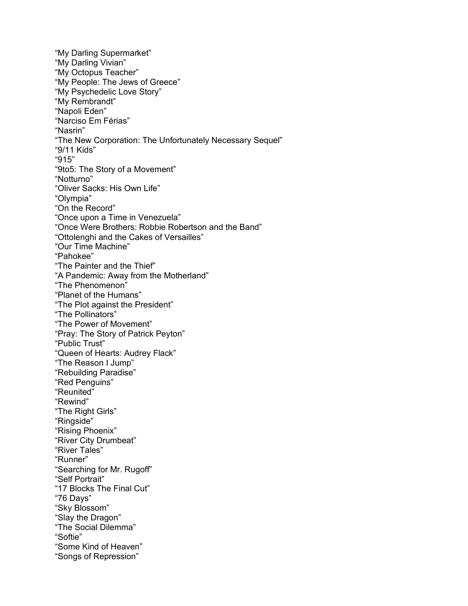"My Darling Supermarket" "My Darling Vivian" "My Octopus Teacher" "My People: The Jews of Greece" "My Psychedelic Love Story" "My Rembrandt" "Napoli Eden" "Narciso Em Férias" "Nasrin" "The New Corporation: The Unfortunately Necessary Sequel" "9/11 Kids" "915" "9to5: The Story of a Movement" "Notturno" "Oliver Sacks: His Own Life" "Olympia" "On the Record" "Once upon a Time in Venezuela" "Once Were Brothers: Robbie Robertson and the Band" "Ottolenghi and the Cakes of Versailles" "Our Time Machine" "Pahokee" "The Painter and the Thief" "A Pandemic: Away from the Motherland" "The Phenomenon" "Planet of the Humans" "The Plot against the President" "The Pollinators" "The Power of Movement" "Pray: The Story of Patrick Peyton" "Public Trust" "Queen of Hearts: Audrey Flack" "The Reason I Jump" "Rebuilding Paradise" "Red Penguins" "Reunited" "Rewind" "The Right Girls" "Ringside" "Rising Phoenix" "River City Drumbeat" "River Tales" "Runner" "Searching for Mr. Rugoff" "Self Portrait" "17 Blocks The Final Cut" "76 Days" "Sky Blossom" "Slay the Dragon" "The Social Dilemma" "Softie" "Some Kind of Heaven" "Songs of Repression"